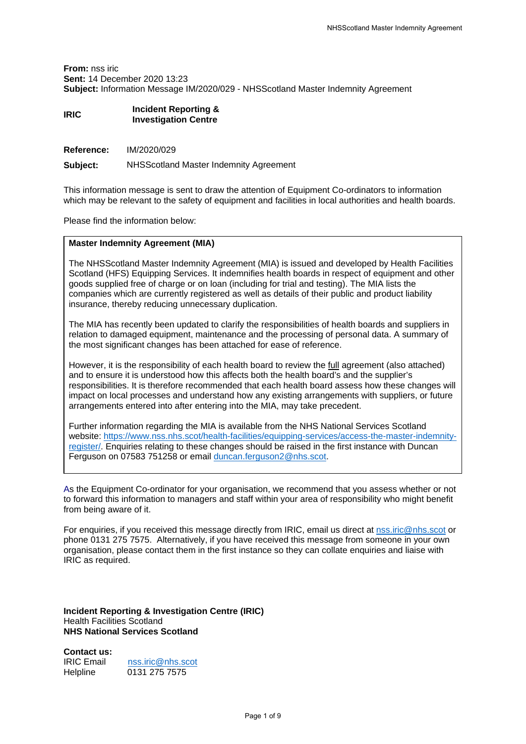**From:** nss iric **Sent:** 14 December 2020 13:23 **Subject:** Information Message IM/2020/029 - NHSScotland Master Indemnity Agreement

### **IRIC Incident Reporting & Investigation Centre**

**Reference:** IM/2020/029

**Subject:** NHSScotland Master Indemnity Agreement

This information message is sent to draw the attention of Equipment Co-ordinators to information which may be relevant to the safety of equipment and facilities in local authorities and health boards.

Please find the information below:

### **Master Indemnity Agreement (MIA)**

The NHSScotland Master Indemnity Agreement (MIA) is issued and developed by Health Facilities Scotland (HFS) Equipping Services. It indemnifies health boards in respect of equipment and other goods supplied free of charge or on loan (including for trial and testing). The MIA lists the companies which are currently registered as well as details of their public and product liability insurance, thereby reducing unnecessary duplication.

The MIA has recently been updated to clarify the responsibilities of health boards and suppliers in relation to damaged equipment, maintenance and the processing of personal data. A summary of the most significant changes has been attached for ease of reference.

However, it is the responsibility of each health board to review the full agreement (also attached) and to ensure it is understood how this affects both the health board's and the supplier's responsibilities. It is therefore recommended that each health board assess how these changes will impact on local processes and understand how any existing arrangements with suppliers, or future arrangements entered into after entering into the MIA, may take precedent.

Further information regarding the MIA is available from the NHS National Services Scotland website: [https://www.nss.nhs.scot/health-facilities/equipping-services/access-the-master-indemnity](https://www.nss.nhs.scot/health-facilities/equipping-services/access-the-master-indemnity-register/)[register/.](https://www.nss.nhs.scot/health-facilities/equipping-services/access-the-master-indemnity-register/) Enquiries relating to these changes should be raised in the first instance with Duncan Ferguson on 07583 751258 or email [duncan.ferguson2@nhs.scot.](mailto:duncan.ferguson2@nhs.scot)

As the Equipment Co-ordinator for your organisation, we recommend that you assess whether or not to forward this information to managers and staff within your area of responsibility who might benefit from being aware of it.

For enquiries, if you received this message directly from IRIC, email us direct at [nss.iric@nhs.scot](mailto:nss.iric@nhs.scot) or phone 0131 275 7575.Alternatively, if you have received this message from someone in your own organisation, please contact them in the first instance so they can collate enquiries and liaise with IRIC as required.

**Incident Reporting & Investigation Centre (IRIC)** Health Facilities Scotland **NHS National Services Scotland**

**Contact us:**

| IRIC Email | nss.iric@nhs.scot |
|------------|-------------------|
| Helpline   | 0131 275 7575     |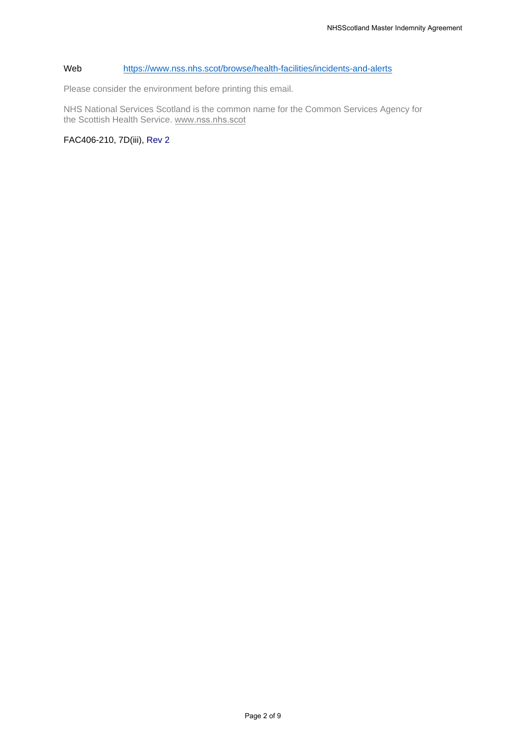### Web <https://www.nss.nhs.scot/browse/health-facilities/incidents-and-alerts>

Please consider the environment before printing this email.

NHS National Services Scotland is the common name for the Common Services Agency for the Scottish Health Service. www.[nss.nhs](http://www.nss.nhs.scot).scot

FAC406-210, 7D(iii), Rev 2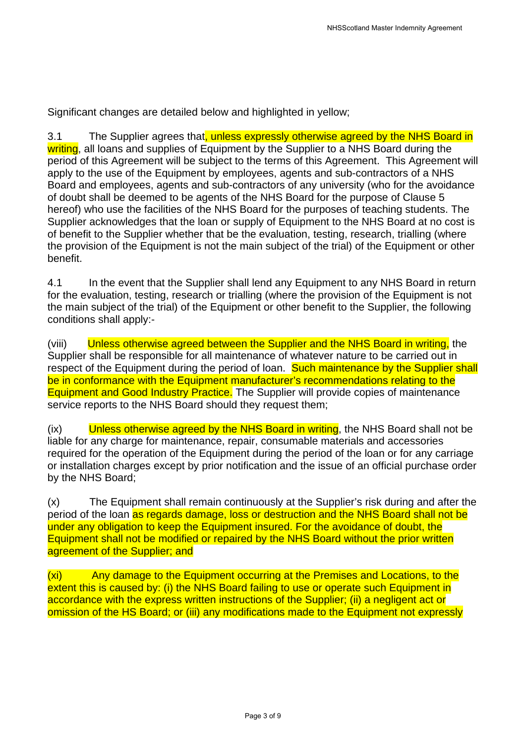Significant changes are detailed below and highlighted in yellow;

3.1 The Supplier agrees that, unless expressly otherwise agreed by the NHS Board in writing, all loans and supplies of Equipment by the Supplier to a NHS Board during the period of this Agreement will be subject to the terms of this Agreement. This Agreement will apply to the use of the Equipment by employees, agents and sub-contractors of a NHS Board and employees, agents and sub-contractors of any university (who for the avoidance of doubt shall be deemed to be agents of the NHS Board for the purpose of Clause 5 hereof) who use the facilities of the NHS Board for the purposes of teaching students. The Supplier acknowledges that the loan or supply of Equipment to the NHS Board at no cost is of benefit to the Supplier whether that be the evaluation, testing, research, trialling (where the provision of the Equipment is not the main subject of the trial) of the Equipment or other benefit.

4.1 In the event that the Supplier shall lend any Equipment to any NHS Board in return for the evaluation, testing, research or trialling (where the provision of the Equipment is not the main subject of the trial) of the Equipment or other benefit to the Supplier, the following conditions shall apply:-

(viii) Unless otherwise agreed between the Supplier and the NHS Board in writing, the Supplier shall be responsible for all maintenance of whatever nature to be carried out in respect of the Equipment during the period of loan. Such maintenance by the Supplier shall be in conformance with the Equipment manufacturer's recommendations relating to the Equipment and Good Industry Practice. The Supplier will provide copies of maintenance service reports to the NHS Board should they request them;

(ix) Unless otherwise agreed by the NHS Board in writing, the NHS Board shall not be liable for any charge for maintenance, repair, consumable materials and accessories required for the operation of the Equipment during the period of the loan or for any carriage or installation charges except by prior notification and the issue of an official purchase order by the NHS Board;

(x) The Equipment shall remain continuously at the Supplier's risk during and after the period of the loan as regards damage, loss or destruction and the NHS Board shall not be under any obligation to keep the Equipment insured. For the avoidance of doubt, the Equipment shall not be modified or repaired by the NHS Board without the prior written agreement of the Supplier; and

(xi) Any damage to the Equipment occurring at the Premises and Locations, to the extent this is caused by: (i) the NHS Board failing to use or operate such Equipment in accordance with the express written instructions of the Supplier; (ii) a negligent act or omission of the HS Board; or (iii) any modifications made to the Equipment not expressly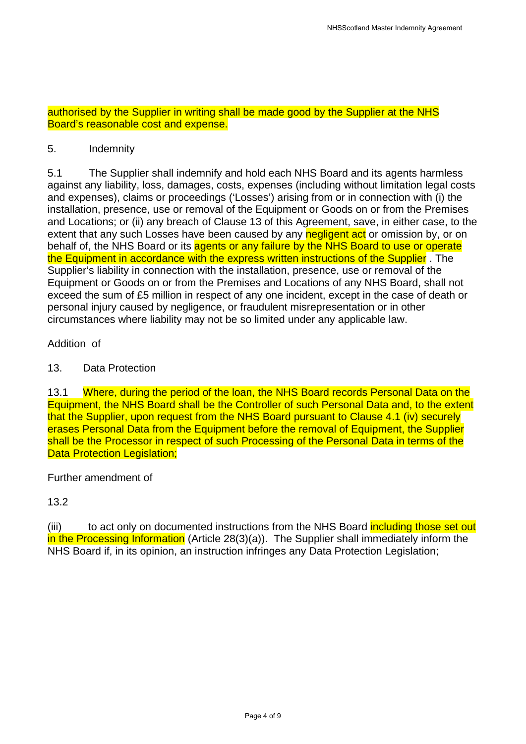authorised by the Supplier in writing shall be made good by the Supplier at the NHS Board's reasonable cost and expense.

## 5. Indemnity

5.1 The Supplier shall indemnify and hold each NHS Board and its agents harmless against any liability, loss, damages, costs, expenses (including without limitation legal costs and expenses), claims or proceedings ('Losses') arising from or in connection with (i) the installation, presence, use or removal of the Equipment or Goods on or from the Premises and Locations; or (ii) any breach of Clause 13 of this Agreement, save, in either case, to the extent that any such Losses have been caused by any negligent act or omission by, or on behalf of, the NHS Board or its agents or any failure by the NHS Board to use or operate the Equipment in accordance with the express written instructions of the Supplier. The Supplier's liability in connection with the installation, presence, use or removal of the Equipment or Goods on or from the Premises and Locations of any NHS Board, shall not exceed the sum of £5 million in respect of any one incident, except in the case of death or personal injury caused by negligence, or fraudulent misrepresentation or in other circumstances where liability may not be so limited under any applicable law.

### Addition of

### 13. Data Protection

13.1 Where, during the period of the loan, the NHS Board records Personal Data on the Equipment, the NHS Board shall be the Controller of such Personal Data and, to the extent that the Supplier, upon request from the NHS Board pursuant to Clause 4.1 (iv) securely erases Personal Data from the Equipment before the removal of Equipment, the Supplier shall be the Processor in respect of such Processing of the Personal Data in terms of the Data Protection Legislation;

## Further amendment of

## 13.2

(iii) to act only on documented instructions from the NHS Board including those set out in the Processing Information (Article 28(3)(a)). The Supplier shall immediately inform the NHS Board if, in its opinion, an instruction infringes any Data Protection Legislation;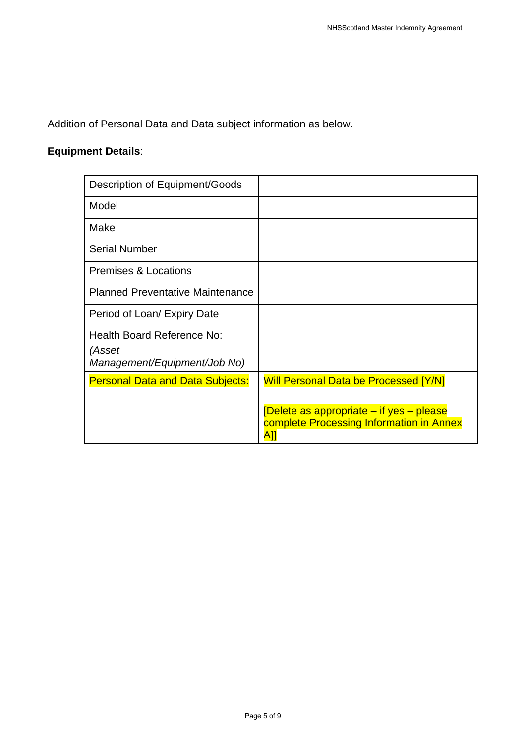Addition of Personal Data and Data subject information as below.

## **Equipment Details**:

| Description of Equipment/Goods                                       |                                                                                                                                             |
|----------------------------------------------------------------------|---------------------------------------------------------------------------------------------------------------------------------------------|
| Model                                                                |                                                                                                                                             |
| Make                                                                 |                                                                                                                                             |
| <b>Serial Number</b>                                                 |                                                                                                                                             |
| <b>Premises &amp; Locations</b>                                      |                                                                                                                                             |
| <b>Planned Preventative Maintenance</b>                              |                                                                                                                                             |
| Period of Loan/ Expiry Date                                          |                                                                                                                                             |
| Health Board Reference No:<br>(Asset<br>Management/Equipment/Job No) |                                                                                                                                             |
| <b>Personal Data and Data Subjects:</b>                              | <b>Will Personal Data be Processed [Y/N]</b><br>[Delete as appropriate – if yes – please<br>complete Processing Information in Annex<br>A]] |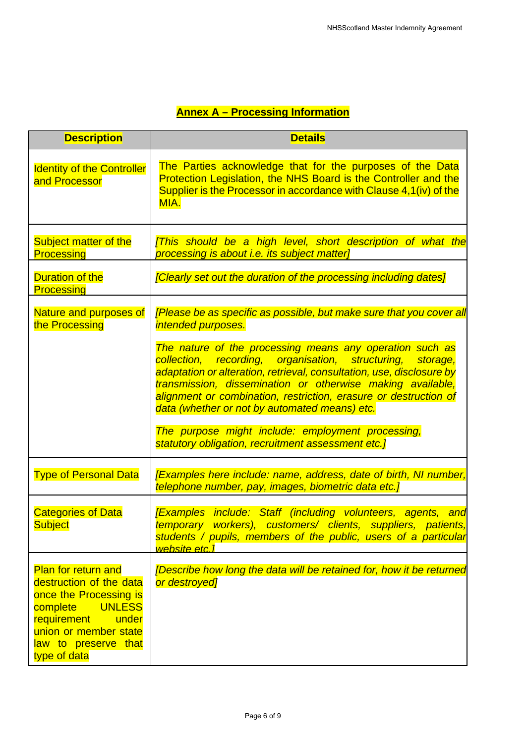## **Annex A – Processing Information**

| <b>Description</b>                                                                                                                                                                                 | <b>Details</b>                                                                                                                                                                                                                                                                                                                                                                     |
|----------------------------------------------------------------------------------------------------------------------------------------------------------------------------------------------------|------------------------------------------------------------------------------------------------------------------------------------------------------------------------------------------------------------------------------------------------------------------------------------------------------------------------------------------------------------------------------------|
| <b>Identity of the Controller</b><br>and Processor                                                                                                                                                 | The Parties acknowledge that for the purposes of the Data<br>Protection Legislation, the NHS Board is the Controller and the<br>Supplier is the Processor in accordance with Clause 4,1(iv) of the<br>MIA.                                                                                                                                                                         |
| Subject matter of the<br><b>Processing</b>                                                                                                                                                         | [This should be a high level, short description of what the<br>processing is about i.e. its subject matter]                                                                                                                                                                                                                                                                        |
| <b>Duration of the</b><br><b>Processing</b>                                                                                                                                                        | [Clearly set out the duration of the processing including dates]                                                                                                                                                                                                                                                                                                                   |
| Nature and purposes of<br>the Processing                                                                                                                                                           | [Please be as specific as possible, but make sure that you cover all<br>intended purposes.                                                                                                                                                                                                                                                                                         |
|                                                                                                                                                                                                    | The nature of the processing means any operation such as<br>collection, recording, organisation, structuring, storage,<br>adaptation or alteration, retrieval, consultation, use, disclosure by<br>transmission, dissemination or otherwise making available,<br>alignment or combination, restriction, erasure or destruction of<br>data (whether or not by automated means) etc. |
|                                                                                                                                                                                                    | The purpose might include: employment processing,<br>statutory obligation, recruitment assessment etc.]                                                                                                                                                                                                                                                                            |
| <b>Type of Personal Data</b>                                                                                                                                                                       | <b>[Examples here include: name, address, date of birth, NI number,</b><br>telephone number, pay, images, biometric data etc.]                                                                                                                                                                                                                                                     |
| <b>Categories of Data</b><br>Subject                                                                                                                                                               | [Examples include: Staff (including volunteers, agents, and<br>temporary workers), customers/ clients, suppliers, patients,<br>students / pupils, members of the public, users of a particular<br>website etc.1                                                                                                                                                                    |
| <b>Plan for return and</b><br>destruction of the data<br>once the Processing is<br><b>UNLESS</b><br>complete<br>requirement under<br>union or member state<br>law to preserve that<br>type of data | [Describe how long the data will be retained for, how it be returned<br>or destroyed]                                                                                                                                                                                                                                                                                              |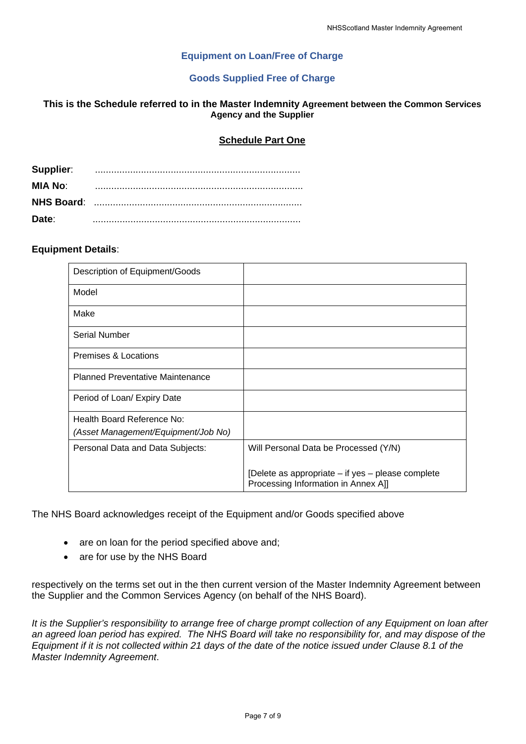### **Equipment on Loan/Free of Charge**

### **Goods Supplied Free of Charge**

### **This is the Schedule referred to in the Master Indemnity Agreement between the Common Services Agency and the Supplier**

### **Schedule Part One**

| Supplier:         |  |
|-------------------|--|
| MIA No:           |  |
| <b>NHS Board:</b> |  |
| Date:             |  |

### **Equipment Details**:

| Description of Equipment/Goods          |                                                                                          |
|-----------------------------------------|------------------------------------------------------------------------------------------|
| Model                                   |                                                                                          |
| Make                                    |                                                                                          |
| <b>Serial Number</b>                    |                                                                                          |
| Premises & Locations                    |                                                                                          |
| <b>Planned Preventative Maintenance</b> |                                                                                          |
| Period of Loan/ Expiry Date             |                                                                                          |
| Health Board Reference No:              |                                                                                          |
| (Asset Management/Equipment/Job No)     |                                                                                          |
| Personal Data and Data Subjects:        | Will Personal Data be Processed (Y/N)                                                    |
|                                         | [Delete as appropriate – if yes – please complete<br>Processing Information in Annex All |

The NHS Board acknowledges receipt of the Equipment and/or Goods specified above

- are on loan for the period specified above and;
- are for use by the NHS Board

respectively on the terms set out in the then current version of the Master Indemnity Agreement between the Supplier and the Common Services Agency (on behalf of the NHS Board).

*It is the Supplier's responsibility to arrange free of charge prompt collection of any Equipment on loan after an agreed loan period has expired. The NHS Board will take no responsibility for, and may dispose of the Equipment if it is not collected within 21 days of the date of the notice issued under Clause 8.1 of the Master Indemnity Agreement*.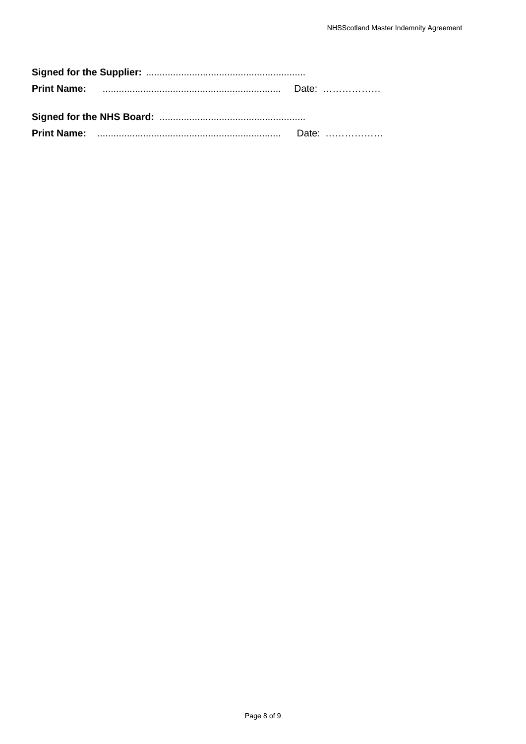|  | Date: <b>Date:</b> |  |
|--|--------------------|--|